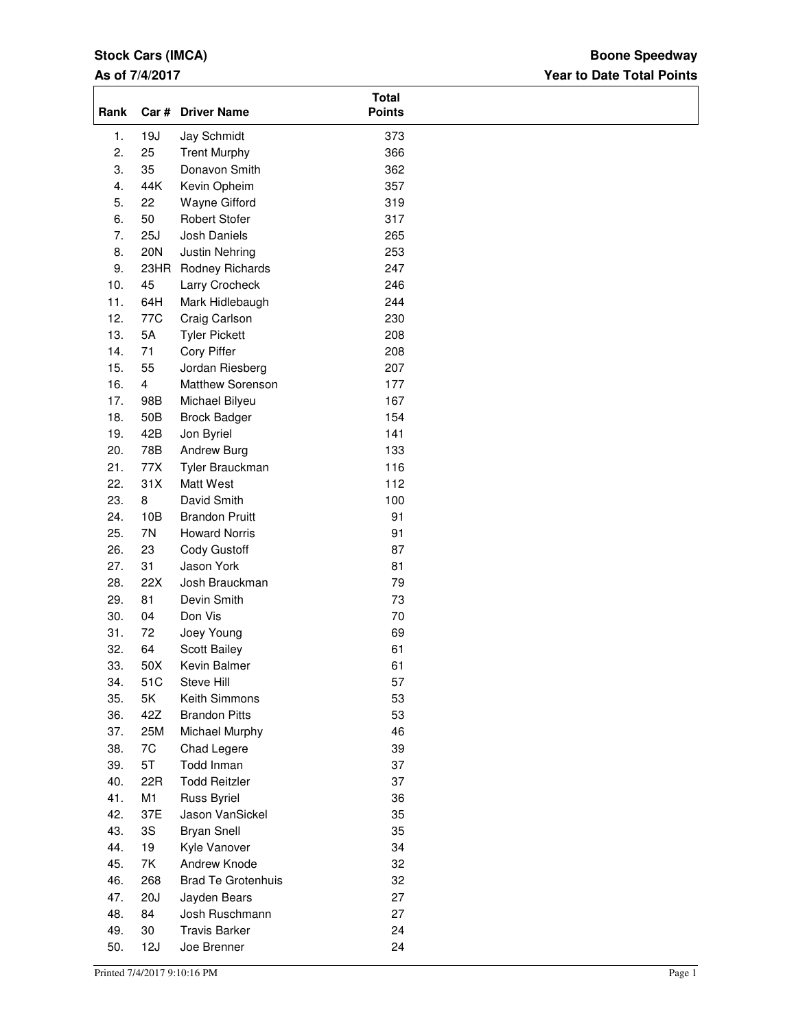### **Stock Cars (IMCA)**

### **As of 7/4/2017**

### **Year to Date Total Points Boone Speedway**

| Rank             |                | Car # Driver Name         | <b>Total</b><br><b>Points</b> |  |
|------------------|----------------|---------------------------|-------------------------------|--|
| 1.               | 19J            | Jay Schmidt               | 373                           |  |
| 2.               | 25             | <b>Trent Murphy</b>       | 366                           |  |
| 3.               | 35             | Donavon Smith             | 362                           |  |
| $\overline{4}$ . | 44K            | Kevin Opheim              | 357                           |  |
| 5.               | 22             | Wayne Gifford             | 319                           |  |
| 6.               | 50             | <b>Robert Stofer</b>      | 317                           |  |
| 7.               | 25J            | Josh Daniels              | 265                           |  |
| 8.               | <b>20N</b>     | <b>Justin Nehring</b>     | 253                           |  |
| 9.               | 23HR           | Rodney Richards           | 247                           |  |
| 10.              | 45             | Larry Crocheck            | 246                           |  |
| 11.              | 64H            | Mark Hidlebaugh           | 244                           |  |
| 12.              | 77C            | Craig Carlson             | 230                           |  |
| 13.              | 5A             | <b>Tyler Pickett</b>      | 208                           |  |
| 14.              | 71             | Cory Piffer               | 208                           |  |
| 15.              | 55             | Jordan Riesberg           | 207                           |  |
| 16.              | $\overline{4}$ | Matthew Sorenson          | 177                           |  |
| 17.              | 98B            | Michael Bilyeu            | 167                           |  |
| 18.              | 50B            | <b>Brock Badger</b>       | 154                           |  |
| 19.              | 42B            | Jon Byriel                | 141                           |  |
| 20.              | 78B            | Andrew Burg               | 133                           |  |
| 21.              | 77X            | Tyler Brauckman           | 116                           |  |
| 22.              | 31X            | Matt West                 | 112                           |  |
| 23.              | 8              | David Smith               | 100                           |  |
| 24.              | 10B            | <b>Brandon Pruitt</b>     | 91                            |  |
| 25.              | 7N             | <b>Howard Norris</b>      | 91                            |  |
| 26.              | 23             | Cody Gustoff              | 87                            |  |
| 27.              | 31             | Jason York                | 81                            |  |
| 28.              | 22X            | Josh Brauckman            | 79                            |  |
| 29.              | 81             | Devin Smith               | 73                            |  |
| 30.              | 04             | Don Vis                   | $70\,$                        |  |
| 31.              | 72             | Joey Young                | 69                            |  |
| 32.              | 64             | Scott Bailey              | 61                            |  |
| 33.              | 50X            | Kevin Balmer              | 61                            |  |
| 34.              | 51C            | Steve Hill                |                               |  |
| 35.              | 5K             | Keith Simmons             | 57<br>53                      |  |
|                  | 42Z            | <b>Brandon Pitts</b>      | 53                            |  |
| 36.              |                |                           |                               |  |
| 37.<br>38.       | 25M<br>7C      | Michael Murphy            | 46<br>39                      |  |
|                  |                | Chad Legere<br>Todd Inman | 37                            |  |
| 39.              | 5T             | <b>Todd Reitzler</b>      |                               |  |
| 40.<br>41.       | 22R            |                           | 37                            |  |
|                  | M1             | Russ Byriel               | 36                            |  |
| 42.              | 37E            | Jason VanSickel           | 35                            |  |
| 43.              | 3S             | <b>Bryan Snell</b>        | 35                            |  |
| 44.              | 19             | Kyle Vanover              | 34                            |  |
| 45.              | 7K             | Andrew Knode              | 32                            |  |
| 46.              | 268            | <b>Brad Te Grotenhuis</b> | 32                            |  |
| 47.              | 20J            | Jayden Bears              | 27                            |  |
| 48.              | 84             | Josh Ruschmann            | 27                            |  |
| 49.              | 30             | <b>Travis Barker</b>      | 24                            |  |
| 50.              | 12J            | Joe Brenner               | 24                            |  |